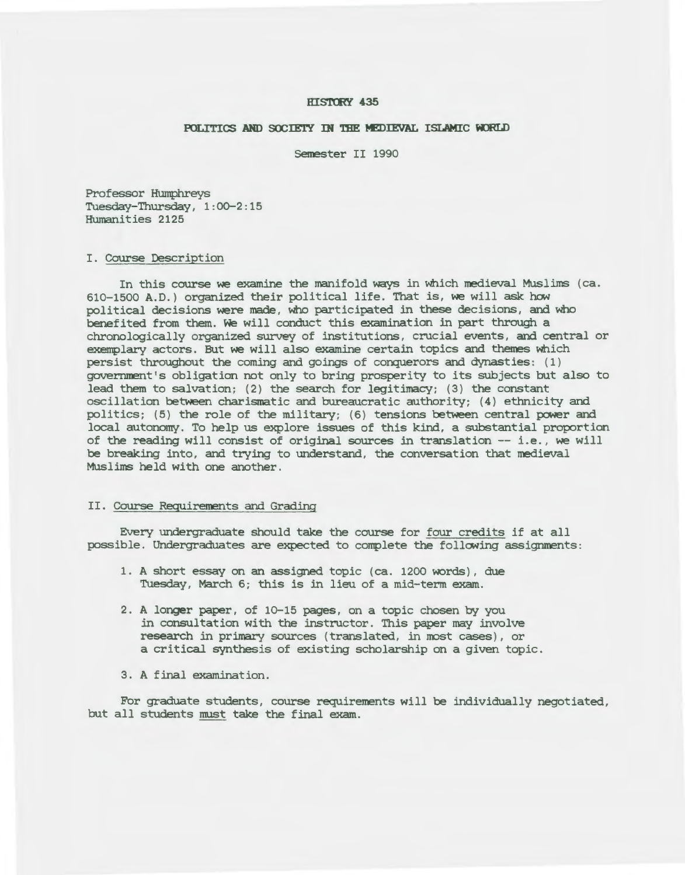### **HISTORY 435**

# **POLITICS AHD** SC£IE'IY IN **mE MIDIEVAL** ISLAMIC **KJRLD**

Semester II 1990

Professor Humphreys Tuesday-Thursday, 1:00-2:15 Humanities 2125

## I. Course Description

In this course we examine the manifold ways in which medieval Muslims (ca. 610-1500 A.D.) organized their political life. That *is,* we will ask how political decisions were made , who participated in these decisions, and who benefited from them. We will conduct this examination in part through a chronologically organized survey of institutions, crucial events, and central or exemplary actors. But we will also examine certain topics and themes which persist throughout the coming and goings of conquerors and dynasties: (1 ) government's obligation not only to bring prosperity to its subjects but also to lead them to salvation; (2) the search for legitimacy; (3) the constant oscillation between charismatic and bureaucratic authority; (4) ethnicity and politics; (5) the role of the military; (6) tensions between central power and local autonomy. To help us explore issues of this kind, a substantial proportion of the reading will consist of original sources in translation -- i.e. , we will be breaking into, and trying to understand, the conversation that medieval Muslims held with one another.

### II. Course Requirements and Grading

Every undergraduate should take the course for four credits if at all possible . Undergraduates are expected to complete the following assignments:

- 1. A short essay on an assigned topic (ca. 1200 words), due Tuesday, March 6; this is in lieu of a mid-term exam.
- 2 . A longer paper , of 10-15 pages, on a topic chosen by you in consultation with the instructor. This paper may involve research in primary sources (translated, in most cases), or a critical synthesis of existing scholarship on a given topic.
- 3. A final examination.

For graduate students, course requirements will be individually negotiated, but all students must take the final exam.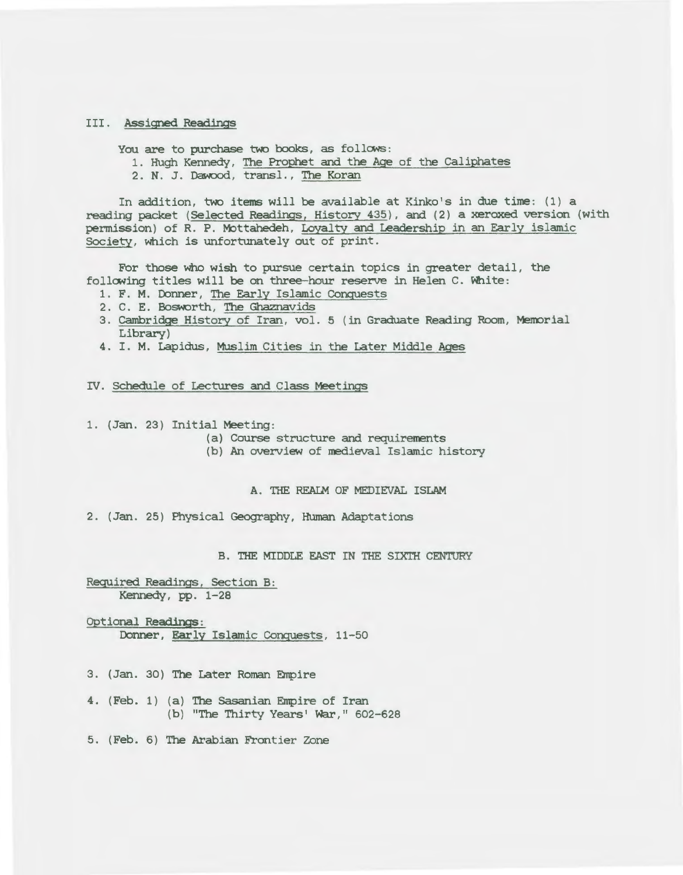## I II . *Assigned* Readings

You are to purchase two books, as follows:

- 1. Hugh Kennedy, The Prophet and the Age of the Caliphates
- 2. N. J. Dawood, transl., The Koran

In addition, two items will be available at Kinko's in due time: (1) a reading packet (Selected Readings, History 435), and (2) a xeroxed version (with permission) of R. P. Mottahedeh, Loyalty and Leadership in an Early islamic Society, which *is* unfortunately out of print.

For those who wish to pursue certain topics in greater detail, the following titles will be on three-hour reserve in Helen C. White:

- 1. F. M. Donner, The Early Islamic Conquests
- 2 . C. E. Bosworth, The Ghaznavids
- 3. Cambridge History of Iran, vol. 5 (in Graduate Reading Room, Memorial Library)
- 4. I. M. Lapidus, Muslim Cities in the Later Middle Ages

IV. Schedule of Lectures and Class Meetings

1. (Jan. 23) Initial Meeting:

- (a) Course structure and requirements
- (b) An overview of *medieval* Islamic history

A. 'mE REAIM OF MEDIEVAL ISLAM

2. (Jan. 25) Physical Geography, Human Adaptations

B. THE MIDDLE EAST IN THE SIXTH CENTURY

Required Readings, Section B: Kennedy, pp. 1-28

- Optional Readings: Donner, Early Islamic Conquests, 11-50
- 3. (Jan. 30) The Later Roman Empire
- 4. (Feb. 1) (a) The Sasanian Empire of Iran (b) "The Thirty Years' War," 602-628
- 5 . (Feb. 6) The Arabian Frontier Zone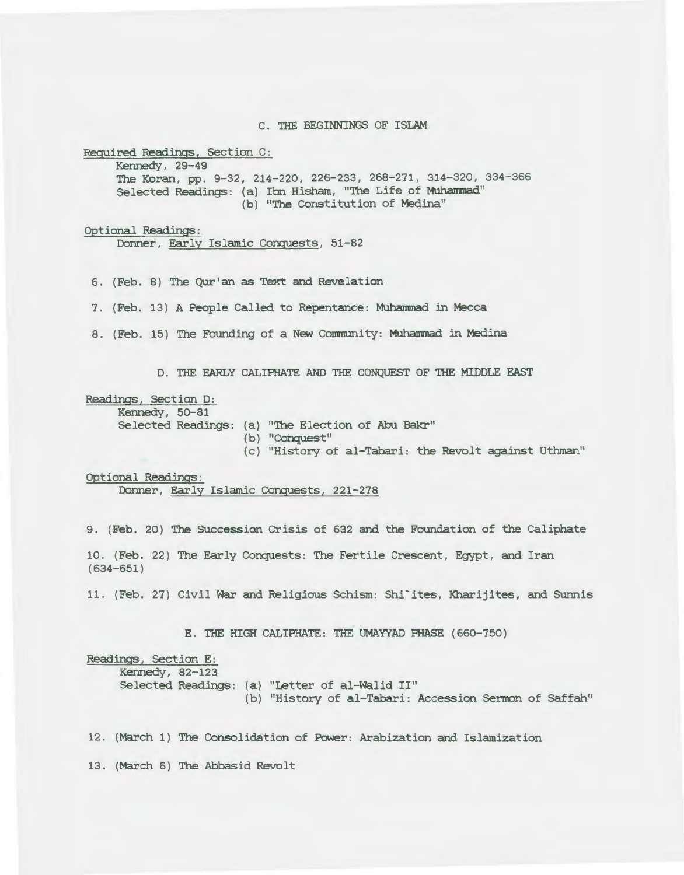C. THE BEGINNINGS OF ISLAM

Required Readings, Section C:

Kennedy, 29-49 The Koran, pp. 9-32, 214-220, 226-233, 268-271, 314-320, 334-366 Selected Readings: (a) Ibn Hisham, "The Life of Muhanmad" (b) "The Constitution of Medina"

Optional Readings:

Donner, Early Islamic Conquests, 51-82

6. (Feb. 8) The Qur'an as Text and Revelation

7. (Feb. 13) A People Called to Repentance: Muhammad in Mecca

8. (Feb. 15) The Founding of a New Community: Muhammad in Medina

D. THE EARLY CALIPHATE AND THE CONQUEST OF THE MIDDLE EAST

Readings, Section D:

Kennedy, 50-81

Selected Readings: (a) "The Election of Abu Bakr"

(b) "Conquest"

(c) "History of al-Tabari: the Revolt against Uthman"

Optional Readings:

Donner, Early Islamic Conquests, 221-278

9. (Feb. 20) The SUccession Crisis of 632 and the Foundation of the Caliphate

10. (Feb. 22) The Early Conquests: The Fertile Crescent, Egypt, and Iran (634-651)

11 . (Feb. 27) Civil war and *Religious* Schism: Shi'ites, Kharijites, and SUnnis

E. THE HIGH CALIPHATE: THE UMAYYAD PHASE (660-750)

Readings, Section E: Kennedy, 82-123 Selected Readings: (a) "Letter of al-walid II" (b) "History of al-Tabari: Accession Sermon of Saffah"

12. (March 1) The Consolidation of Power: Arabization and Islamization

13. (March 6) The Abbasid Revolt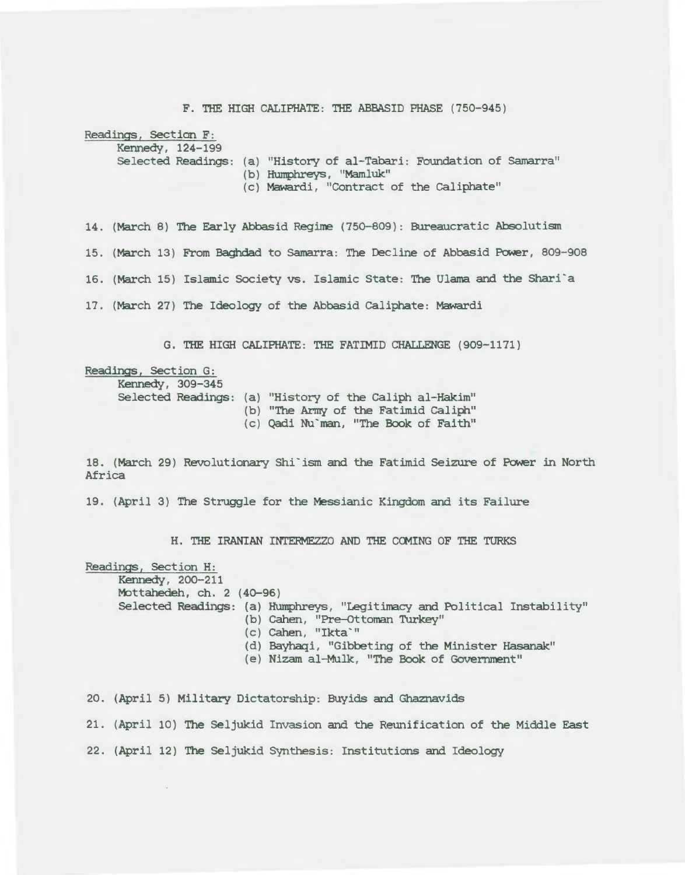F. THE HIGH CALIPHATE: THE ABBASID PHASE (750-945)

Readings, Section F:

Kennedy, 124-199

Selected Readings: (a) "History of al-Tabari: Foundation of Samarra"

(b) Humphreys, "Mamluk"

(c) Mawardi, "Contract of the caliphate"

14. (March 8) The Early Abbasid Regime (750-809): Bureaucratic Absolutism 15. (March 13) From Baghdad to Sarnarra: The Decline of Abbasid Power, 809-908 16. (March 15) Islamic Society vs. Islamic State: The Ulama and the Shari'a 17. (March 27) The Ideology of the Abbasid caliphate: Mawardi

G. THE HIGH CALIPHATE: THE FATIMID CHALLENGE ( 909-1171)

Readings, Section G: Kennedy, 309-345 Selected Readings: (a) "History of the caliph al-Hakim" (b) "The Army of the Fatimid Caliph" (c) Qadi Nu'man, "The Book of Faith"

18. (March 29) Revolutionary Shi'ism and the Fatimid Seizure of Power in North Africa

19. (April 3) The Struggle for the Messianic Kingdom and its Failure

H. THE IRANIAN INTERMEZZO AND THE COMING OF THE TURKS

Readings, Section H: Kennedy, 200-211 Mottahedeh, ch. 2 (40-96) Selected Readings: (a) Humphreys, "Legitimacy and Political Instability" (b) Cahen, "Pre-Ottoman Turkey" (c) Cahen, "Ikta<sup>-"</sup> (d) Bayhaqi, "Gibbeting of the Minister Hasanak" (e) Nizam al-Mulk, "The Book of Government"

20. (April 5) Military Dictatorship: Buyids and Ghaznavids

21. (April 10) The Seljukid Invasion and the Reunification of the Middle East

22. (April 12) The Seljukid Synthesis: Institutions and Ideology